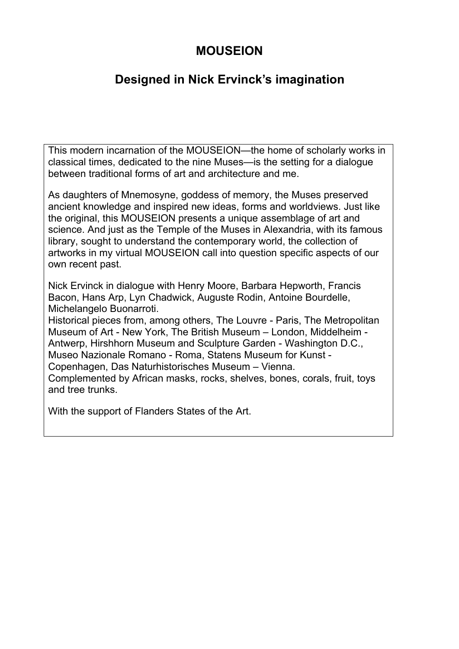# **MOUSEION**

# **Designed in Nick Ervinck's imagination**

This modern incarnation of the MOUSEION—the home of scholarly works in classical times, dedicated to the nine Muses—is the setting for a dialogue between traditional forms of art and architecture and me.

As daughters of Mnemosyne, goddess of memory, the Muses preserved ancient knowledge and inspired new ideas, forms and worldviews. Just like the original, this MOUSEION presents a unique assemblage of art and science. And just as the Temple of the Muses in Alexandria, with its famous library, sought to understand the contemporary world, the collection of artworks in my virtual MOUSEION call into question specific aspects of our own recent past.

Nick Ervinck in dialogue with Henry Moore, Barbara Hepworth, Francis Bacon, Hans Arp, Lyn Chadwick, Auguste Rodin, Antoine Bourdelle, Michelangelo Buonarroti.

Historical pieces from, among others, The Louvre - Paris, The Metropolitan Museum of Art - New York, The British Museum – London, Middelheim - Antwerp, Hirshhorn Museum and Sculpture Garden - Washington D.C., Museo Nazionale Romano - Roma, Statens Museum for Kunst - Copenhagen, Das Naturhistorisches Museum – Vienna.

Complemented by African masks, rocks, shelves, bones, corals, fruit, toys and tree trunks.

With the support of Flanders States of the Art.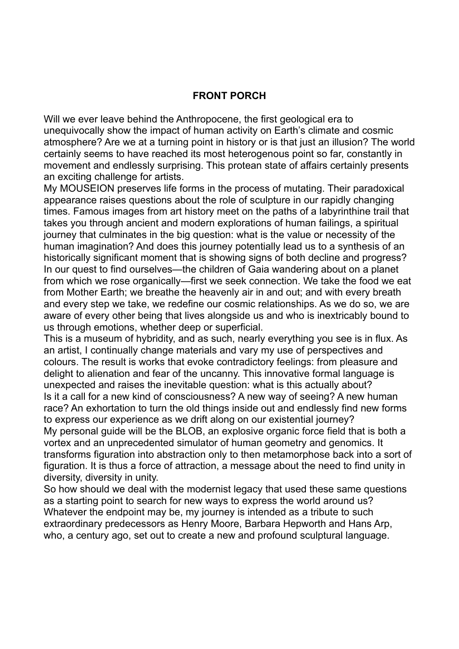#### **FRONT PORCH**

Will we ever leave behind the Anthropocene, the first geological era to unequivocally show the impact of human activity on Earth's climate and cosmic atmosphere? Are we at a turning point in history or is that just an illusion? The world certainly seems to have reached its most heterogenous point so far, constantly in movement and endlessly surprising. This protean state of affairs certainly presents an exciting challenge for artists.

My MOUSEION preserves life forms in the process of mutating. Their paradoxical appearance raises questions about the role of sculpture in our rapidly changing times. Famous images from art history meet on the paths of a labyrinthine trail that takes you through ancient and modern explorations of human failings, a spiritual journey that culminates in the big question: what is the value or necessity of the human imagination? And does this journey potentially lead us to a synthesis of an historically significant moment that is showing signs of both decline and progress? In our quest to find ourselves—the children of Gaia wandering about on a planet from which we rose organically—first we seek connection. We take the food we eat from Mother Earth; we breathe the heavenly air in and out; and with every breath and every step we take, we redefine our cosmic relationships. As we do so, we are aware of every other being that lives alongside us and who is inextricably bound to us through emotions, whether deep or superficial.

This is a museum of hybridity, and as such, nearly everything you see is in flux. As an artist, I continually change materials and vary my use of perspectives and colours. The result is works that evoke contradictory feelings: from pleasure and delight to alienation and fear of the uncanny. This innovative formal language is unexpected and raises the inevitable question: what is this actually about? Is it a call for a new kind of consciousness? A new way of seeing? A new human race? An exhortation to turn the old things inside out and endlessly find new forms to express our experience as we drift along on our existential journey? My personal guide will be the BLOB, an explosive organic force field that is both a vortex and an unprecedented simulator of human geometry and genomics. It transforms figuration into abstraction only to then metamorphose back into a sort of figuration. It is thus a force of attraction, a message about the need to find unity in diversity, diversity in unity.

So how should we deal with the modernist legacy that used these same questions as a starting point to search for new ways to express the world around us? Whatever the endpoint may be, my journey is intended as a tribute to such extraordinary predecessors as Henry Moore, Barbara Hepworth and Hans Arp, who, a century ago, set out to create a new and profound sculptural language.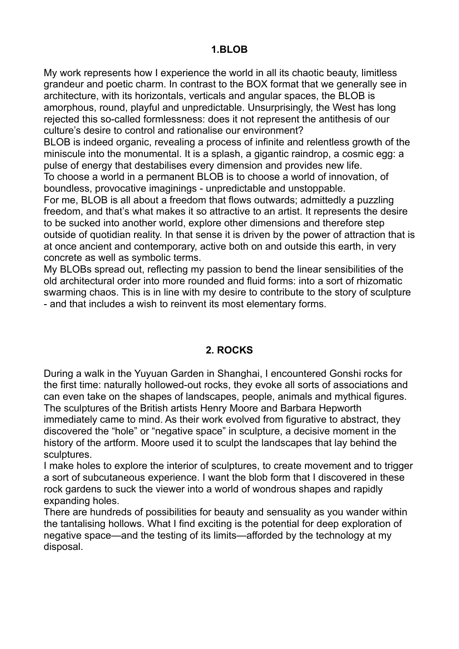My work represents how I experience the world in all its chaotic beauty, limitless grandeur and poetic charm. In contrast to the BOX format that we generally see in architecture, with its horizontals, verticals and angular spaces, the BLOB is amorphous, round, playful and unpredictable. Unsurprisingly, the West has long rejected this so-called formlessness: does it not represent the antithesis of our culture's desire to control and rationalise our environment?

BLOB is indeed organic, revealing a process of infinite and relentless growth of the miniscule into the monumental. It is a splash, a gigantic raindrop, a cosmic egg: a pulse of energy that destabilises every dimension and provides new life.

To choose a world in a permanent BLOB is to choose a world of innovation, of boundless, provocative imaginings - unpredictable and unstoppable.

For me, BLOB is all about a freedom that flows outwards; admittedly a puzzling freedom, and that's what makes it so attractive to an artist. It represents the desire to be sucked into another world, explore other dimensions and therefore step outside of quotidian reality. In that sense it is driven by the power of attraction that is at once ancient and contemporary, active both on and outside this earth, in very concrete as well as symbolic terms.

My BLOBs spread out, reflecting my passion to bend the linear sensibilities of the old architectural order into more rounded and fluid forms: into a sort of rhizomatic swarming chaos. This is in line with my desire to contribute to the story of sculpture - and that includes a wish to reinvent its most elementary forms.

## **2. ROCKS**

During a walk in the Yuyuan Garden in Shanghai, I encountered Gonshi rocks for the first time: naturally hollowed-out rocks, they evoke all sorts of associations and can even take on the shapes of landscapes, people, animals and mythical figures. The sculptures of the British artists Henry Moore and Barbara Hepworth immediately came to mind. As their work evolved from figurative to abstract, they discovered the "hole" or "negative space" in sculpture, a decisive moment in the history of the artform. Moore used it to sculpt the landscapes that lay behind the sculptures.

I make holes to explore the interior of sculptures, to create movement and to trigger a sort of subcutaneous experience. I want the blob form that I discovered in these rock gardens to suck the viewer into a world of wondrous shapes and rapidly expanding holes.

There are hundreds of possibilities for beauty and sensuality as you wander within the tantalising hollows. What I find exciting is the potential for deep exploration of negative space—and the testing of its limits—afforded by the technology at my disposal.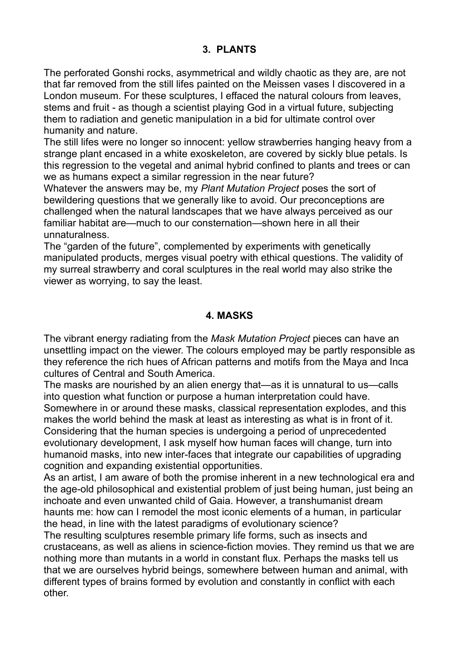### **3. PLANTS**

The perforated Gonshi rocks, asymmetrical and wildly chaotic as they are, are not that far removed from the still lifes painted on the Meissen vases I discovered in a London museum. For these sculptures, I effaced the natural colours from leaves, stems and fruit - as though a scientist playing God in a virtual future, subjecting them to radiation and genetic manipulation in a bid for ultimate control over humanity and nature.

The still lifes were no longer so innocent: yellow strawberries hanging heavy from a strange plant encased in a white exoskeleton, are covered by sickly blue petals. Is this regression to the vegetal and animal hybrid confined to plants and trees or can we as humans expect a similar regression in the near future?

Whatever the answers may be, my *Plant Mutation Project* poses the sort of bewildering questions that we generally like to avoid. Our preconceptions are challenged when the natural landscapes that we have always perceived as our familiar habitat are—much to our consternation—shown here in all their unnaturalness.

The "garden of the future", complemented by experiments with genetically manipulated products, merges visual poetry with ethical questions. The validity of my surreal strawberry and coral sculptures in the real world may also strike the viewer as worrying, to say the least.

#### **4. MASKS**

The vibrant energy radiating from the *Mask Mutation Project* pieces can have an unsettling impact on the viewer. The colours employed may be partly responsible as they reference the rich hues of African patterns and motifs from the Maya and Inca cultures of Central and South America.

The masks are nourished by an alien energy that—as it is unnatural to us—calls into question what function or purpose a human interpretation could have. Somewhere in or around these masks, classical representation explodes, and this makes the world behind the mask at least as interesting as what is in front of it. Considering that the human species is undergoing a period of unprecedented evolutionary development, I ask myself how human faces will change, turn into humanoid masks, into new inter-faces that integrate our capabilities of upgrading cognition and expanding existential opportunities.

As an artist, I am aware of both the promise inherent in a new technological era and the age-old philosophical and existential problem of just being human, just being an inchoate and even unwanted child of Gaia. However, a transhumanist dream haunts me: how can I remodel the most iconic elements of a human, in particular the head, in line with the latest paradigms of evolutionary science?

The resulting sculptures resemble primary life forms, such as insects and crustaceans, as well as aliens in science-fiction movies. They remind us that we are nothing more than mutants in a world in constant flux. Perhaps the masks tell us that we are ourselves hybrid beings, somewhere between human and animal, with different types of brains formed by evolution and constantly in conflict with each other.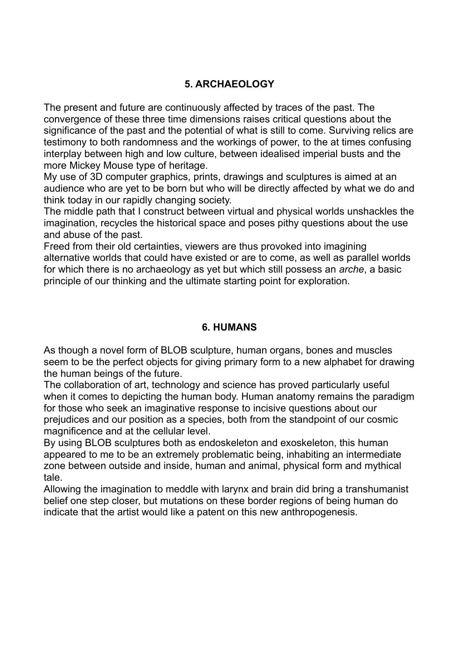## **5. ARCHAEOLOGY**

The present and future are continuously affected by traces of the past. The convergence of these three time dimensions raises critical questions about the significance of the past and the potential of what is still to come. Surviving relics are testimony to both randomness and the workings of power, to the at times confusing interplay between high and low culture, between idealised imperial busts and the more Mickey Mouse type of heritage.

My use of 3D computer graphics, prints, drawings and sculptures is aimed at an audience who are yet to be born but who will be directly affected by what we do and think today in our rapidly changing society.

The middle path that I construct between virtual and physical worlds unshackles the imagination, recycles the historical space and poses pithy questions about the use and abuse of the past.

Freed from their old certainties, viewers are thus provoked into imagining alternative worlds that could have existed or are to come, as well as parallel worlds for which there is no archaeology as yet but which still possess an *arche*, a basic principle of our thinking and the ultimate starting point for exploration.

#### **6. HUMANS**

As though a novel form of BLOB sculpture, human organs, bones and muscles seem to be the perfect objects for giving primary form to a new alphabet for drawing the human beings of the future.

The collaboration of art, technology and science has proved particularly useful when it comes to depicting the human body. Human anatomy remains the paradigm for those who seek an imaginative response to incisive questions about our prejudices and our position as a species, both from the standpoint of our cosmic magnificence and at the cellular level.

By using BLOB sculptures both as endoskeleton and exoskeleton, this human appeared to me to be an extremely problematic being, inhabiting an intermediate zone between outside and inside, human and animal, physical form and mythical tale.

Allowing the imagination to meddle with larynx and brain did bring a transhumanist belief one step closer, but mutations on these border regions of being human do indicate that the artist would like a patent on this new anthropogenesis.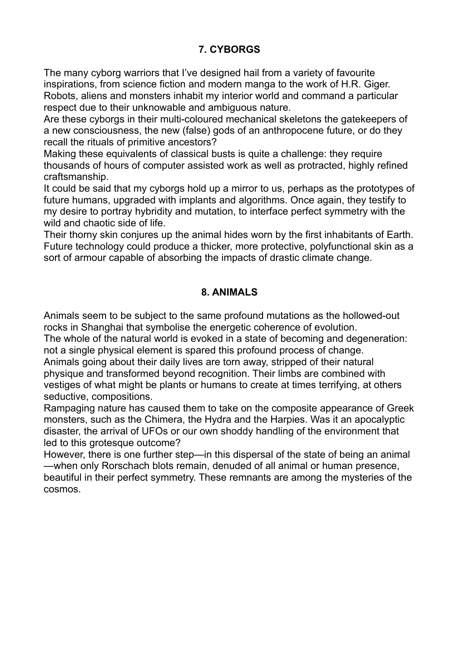## **7. CYBORGS**

The many cyborg warriors that I've designed hail from a variety of favourite inspirations, from science fiction and modern manga to the work of H.R. Giger. Robots, aliens and monsters inhabit my interior world and command a particular respect due to their unknowable and ambiguous nature.

Are these cyborgs in their multi-coloured mechanical skeletons the gatekeepers of a new consciousness, the new (false) gods of an anthropocene future, or do they recall the rituals of primitive ancestors?

Making these equivalents of classical busts is quite a challenge: they require thousands of hours of computer assisted work as well as protracted, highly refined craftsmanship.

It could be said that my cyborgs hold up a mirror to us, perhaps as the prototypes of future humans, upgraded with implants and algorithms. Once again, they testify to my desire to portray hybridity and mutation, to interface perfect symmetry with the wild and chaotic side of life.

Their thorny skin conjures up the animal hides worn by the first inhabitants of Earth. Future technology could produce a thicker, more protective, polyfunctional skin as a sort of armour capable of absorbing the impacts of drastic climate change.

### **8. ANIMALS**

Animals seem to be subject to the same profound mutations as the hollowed-out rocks in Shanghai that symbolise the energetic coherence of evolution.

The whole of the natural world is evoked in a state of becoming and degeneration: not a single physical element is spared this profound process of change.

Animals going about their daily lives are torn away, stripped of their natural physique and transformed beyond recognition. Their limbs are combined with vestiges of what might be plants or humans to create at times terrifying, at others seductive, compositions.

Rampaging nature has caused them to take on the composite appearance of Greek monsters, such as the Chimera, the Hydra and the Harpies. Was it an apocalyptic disaster, the arrival of UFOs or our own shoddy handling of the environment that led to this grotesque outcome?

However, there is one further step—in this dispersal of the state of being an animal —when only Rorschach blots remain, denuded of all animal or human presence, beautiful in their perfect symmetry. These remnants are among the mysteries of the cosmos.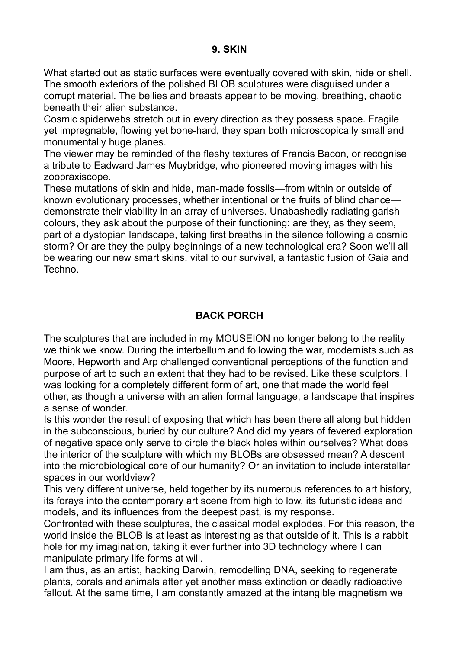#### **9. SKIN**

What started out as static surfaces were eventually covered with skin, hide or shell. The smooth exteriors of the polished BLOB sculptures were disguised under a corrupt material. The bellies and breasts appear to be moving, breathing, chaotic beneath their alien substance.

Cosmic spiderwebs stretch out in every direction as they possess space. Fragile yet impregnable, flowing yet bone-hard, they span both microscopically small and monumentally huge planes.

The viewer may be reminded of the fleshy textures of Francis Bacon, or recognise a tribute to Eadward James Muybridge, who pioneered moving images with his zoopraxiscope.

These mutations of skin and hide, man-made fossils—from within or outside of known evolutionary processes, whether intentional or the fruits of blind chance demonstrate their viability in an array of universes. Unabashedly radiating garish colours, they ask about the purpose of their functioning: are they, as they seem, part of a dystopian landscape, taking first breaths in the silence following a cosmic storm? Or are they the pulpy beginnings of a new technological era? Soon we'll all be wearing our new smart skins, vital to our survival, a fantastic fusion of Gaia and Techno.

## **BACK PORCH**

The sculptures that are included in my MOUSEION no longer belong to the reality we think we know. During the interbellum and following the war, modernists such as Moore, Hepworth and Arp challenged conventional perceptions of the function and purpose of art to such an extent that they had to be revised. Like these sculptors, I was looking for a completely different form of art, one that made the world feel other, as though a universe with an alien formal language, a landscape that inspires a sense of wonder.

Is this wonder the result of exposing that which has been there all along but hidden in the subconscious, buried by our culture? And did my years of fevered exploration of negative space only serve to circle the black holes within ourselves? What does the interior of the sculpture with which my BLOBs are obsessed mean? A descent into the microbiological core of our humanity? Or an invitation to include interstellar spaces in our worldview?

This very different universe, held together by its numerous references to art history, its forays into the contemporary art scene from high to low, its futuristic ideas and models, and its influences from the deepest past, is my response.

Confronted with these sculptures, the classical model explodes. For this reason, the world inside the BLOB is at least as interesting as that outside of it. This is a rabbit hole for my imagination, taking it ever further into 3D technology where I can manipulate primary life forms at will.

I am thus, as an artist, hacking Darwin, remodelling DNA, seeking to regenerate plants, corals and animals after yet another mass extinction or deadly radioactive fallout. At the same time, I am constantly amazed at the intangible magnetism we